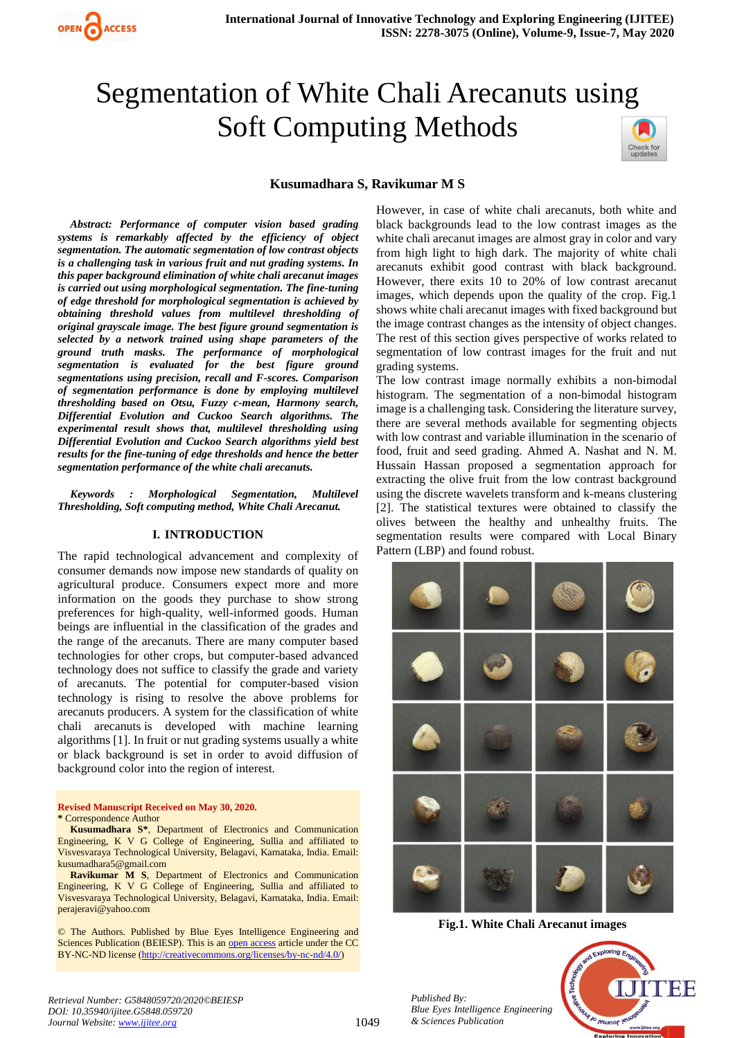# Segmentation of White Chali Arecanuts using Soft Computing Methods



# **Kusumadhara S, Ravikumar M S**

*Abstract: Performance of computer vision based grading systems is remarkably affected by the efficiency of object segmentation. The automatic segmentation of low contrast objects is a challenging task in various fruit and nut grading systems. In this paper background elimination of white chali arecanut images is carried out using morphological segmentation. The fine-tuning of edge threshold for morphological segmentation is achieved by obtaining threshold values from multilevel thresholding of original grayscale image. The best figure ground segmentation is selected by a network trained using shape parameters of the ground truth masks. The performance of morphological segmentation is evaluated for the best figure ground segmentations using precision, recall and F-scores. Comparison of segmentation performance is done by employing multilevel thresholding based on Otsu, Fuzzy c-mean, Harmony search, Differential Evolution and Cuckoo Search algorithms. The experimental result shows that, multilevel thresholding using Differential Evolution and Cuckoo Search algorithms yield best results for the fine-tuning of edge thresholds and hence the better segmentation performance of the white chali arecanuts.*

*Keywords : Morphological Segmentation, Multilevel Thresholding, Soft computing method, White Chali Arecanut.*

#### **I. INTRODUCTION**

The rapid technological advancement and complexity of consumer demands now impose new standards of quality on agricultural produce. Consumers expect more and more information on the goods they purchase to show strong preferences for high-quality, well-informed goods. Human beings are influential in the classification of the grades and the range of the arecanuts. There are many computer based technologies for other crops, but computer-based advanced technology does not suffice to classify the grade and variety of arecanuts. The potential for computer-based vision technology is rising to resolve the above problems for arecanuts producers. A system for the classification of white chali arecanuts is developed with machine learning algorithms [1]. In fruit or nut grading systems usually a white or black background is set in order to avoid diffusion of background color into the region of interest.

**Revised Manuscript Received on May 30, 2020. \*** Correspondence Author

**Kusumadhara S\***, Department of Electronics and Communication Engineering, K V G College of Engineering, Sullia and affiliated to Visvesvaraya Technological University, Belagavi, Karnataka, India. Email: kusumadhara5@gmail.com

**Ravikumar M S**, Department of Electronics and Communication Engineering, K V G College of Engineering, Sullia and affiliated to Visvesvaraya Technological University, Belagavi, Karnataka, India. Email: perajeravi@yahoo.com

© The Authors. Published by Blue Eyes Intelligence Engineering and Sciences Publication (BEIESP). This is an [open access](https://www.openaccess.nl/en/open-publications) article under the CC BY-NC-ND license [\(http://creativecommons.org/licenses/by-nc-nd/4.0/\)](http://creativecommons.org/licenses/by-nc-nd/4.0/)

However, in case of white chali arecanuts, both white and black backgrounds lead to the low contrast images as the white chali arecanut images are almost gray in color and vary from high light to high dark. The majority of white chali arecanuts exhibit good contrast with black background. However, there exits 10 to 20% of low contrast arecanut images, which depends upon the quality of the crop. Fig.1 shows white chali arecanut images with fixed background but the image contrast changes as the intensity of object changes. The rest of this section gives perspective of works related to segmentation of low contrast images for the fruit and nut grading systems.

The low contrast image normally exhibits a non-bimodal histogram. The segmentation of a non-bimodal histogram image is a challenging task. Considering the literature survey, there are several methods available for segmenting objects with low contrast and variable illumination in the scenario of food, fruit and seed grading. Ahmed A. Nashat and N. M. Hussain Hassan proposed a segmentation approach for extracting the olive fruit from the low contrast background using the discrete wavelets transform and k-means clustering [2]. The statistical textures were obtained to classify the olives between the healthy and unhealthy fruits. The segmentation results were compared with Local Binary Pattern (LBP) and found robust.



**Fig.1. White Chali Arecanut images**



*Retrieval Number: G5848059720/2020©BEIESP DOI: 10.35940/ijitee.G5848.059720 Journal Website: www.ijitee.org*

*Published By:*

*& Sciences Publication*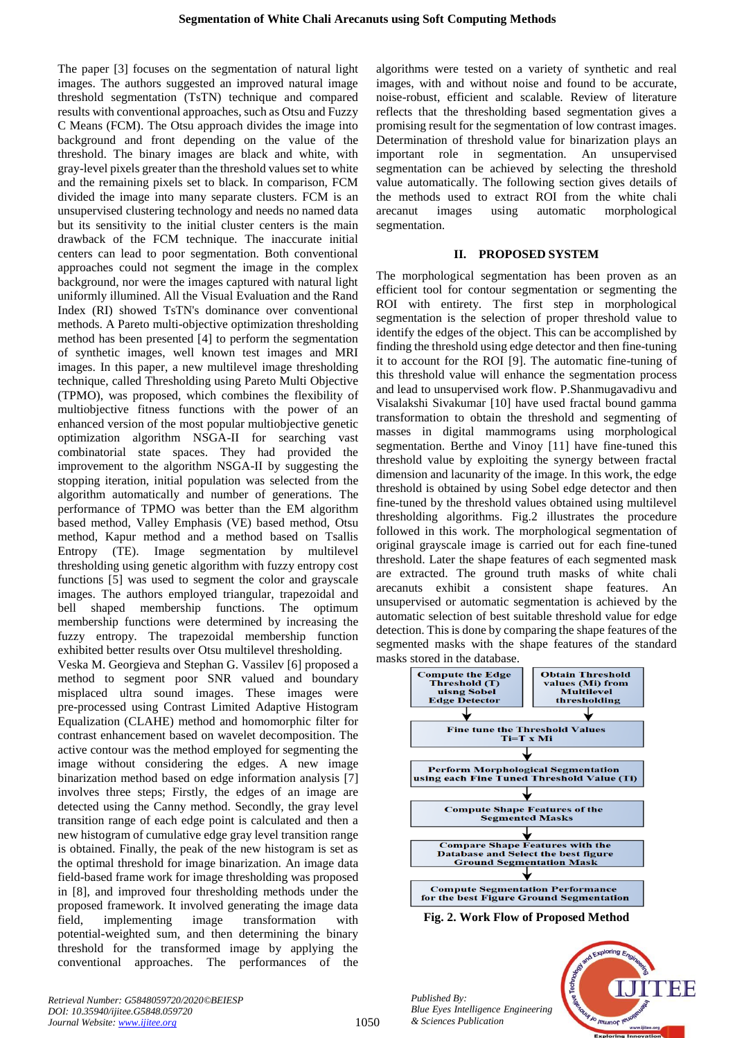The paper [3] focuses on the segmentation of natural light images. The authors suggested an improved natural image threshold segmentation (TsTN) technique and compared results with conventional approaches, such as Otsu and Fuzzy C Means (FCM). The Otsu approach divides the image into background and front depending on the value of the threshold. The binary images are black and white, with gray-level pixels greater than the threshold values set to white and the remaining pixels set to black. In comparison, FCM divided the image into many separate clusters. FCM is an unsupervised clustering technology and needs no named data but its sensitivity to the initial cluster centers is the main drawback of the FCM technique. The inaccurate initial centers can lead to poor segmentation. Both conventional approaches could not segment the image in the complex background, nor were the images captured with natural light uniformly illumined. All the Visual Evaluation and the Rand Index (RI) showed TsTN's dominance over conventional methods. A Pareto multi-objective optimization thresholding method has been presented [4] to perform the segmentation of synthetic images, well known test images and MRI images. In this paper, a new multilevel image thresholding technique, called Thresholding using Pareto Multi Objective (TPMO), was proposed, which combines the flexibility of multiobjective fitness functions with the power of an enhanced version of the most popular multiobjective genetic optimization algorithm NSGA-II for searching vast combinatorial state spaces. They had provided the improvement to the algorithm NSGA-II by suggesting the stopping iteration, initial population was selected from the algorithm automatically and number of generations. The performance of TPMO was better than the EM algorithm based method, Valley Emphasis (VE) based method, Otsu method, Kapur method and a method based on Tsallis Entropy (TE). Image segmentation by multilevel thresholding using genetic algorithm with fuzzy entropy cost functions [5] was used to segment the color and grayscale images. The authors employed triangular, trapezoidal and bell shaped membership functions. The optimum membership functions were determined by increasing the fuzzy entropy. The trapezoidal membership function exhibited better results over Otsu multilevel thresholding.

Veska M. Georgieva and Stephan G. Vassilev [6] proposed a method to segment poor SNR valued and boundary misplaced ultra sound images. These images were pre-processed using Contrast Limited Adaptive Histogram Equalization (CLAHE) method and homomorphic filter for contrast enhancement based on wavelet decomposition. The active contour was the method employed for segmenting the image without considering the edges. A new image binarization method based on edge information analysis [7] involves three steps; Firstly, the edges of an image are detected using the Canny method. Secondly, the gray level transition range of each edge point is calculated and then a new histogram of cumulative edge gray level transition range is obtained. Finally, the peak of the new histogram is set as the optimal threshold for image binarization. An image data field-based frame work for image thresholding was proposed in [8], and improved four thresholding methods under the proposed framework. It involved generating the image data field, implementing image transformation with potential-weighted sum, and then determining the binary threshold for the transformed image by applying the conventional approaches. The performances of the

algorithms were tested on a variety of synthetic and real images, with and without noise and found to be accurate, noise-robust, efficient and scalable. Review of literature reflects that the thresholding based segmentation gives a promising result for the segmentation of low contrast images. Determination of threshold value for binarization plays an important role in segmentation. An unsupervised segmentation can be achieved by selecting the threshold value automatically. The following section gives details of the methods used to extract ROI from the white chali arecanut images using automatic morphological segmentation.

#### **II. PROPOSED SYSTEM**

The morphological segmentation has been proven as an efficient tool for contour segmentation or segmenting the ROI with entirety. The first step in morphological segmentation is the selection of proper threshold value to identify the edges of the object. This can be accomplished by finding the threshold using edge detector and then fine-tuning it to account for the ROI [9]. The automatic fine-tuning of this threshold value will enhance the segmentation process and lead to unsupervised work flow. P.Shanmugavadivu and Visalakshi Sivakumar [10] have used fractal bound gamma transformation to obtain the threshold and segmenting of masses in digital mammograms using morphological segmentation. Berthe and Vinoy [11] have fine-tuned this threshold value by exploiting the synergy between fractal dimension and lacunarity of the image. In this work, the edge threshold is obtained by using Sobel edge detector and then fine-tuned by the threshold values obtained using multilevel thresholding algorithms. Fig.2 illustrates the procedure followed in this work. The morphological segmentation of original grayscale image is carried out for each fine-tuned threshold. Later the shape features of each segmented mask are extracted. The ground truth masks of white chali arecanuts exhibit a consistent shape features. An unsupervised or automatic segmentation is achieved by the automatic selection of best suitable threshold value for edge detection. This is done by comparing the shape features of the segmented masks with the shape features of the standard masks stored in the database.



**Fig. 2. Work Flow of Proposed Method**

INEIE

Jo <sub>leumor</sub>

*Published By: Blue Eyes Intelligence Engineering & Sciences Publication*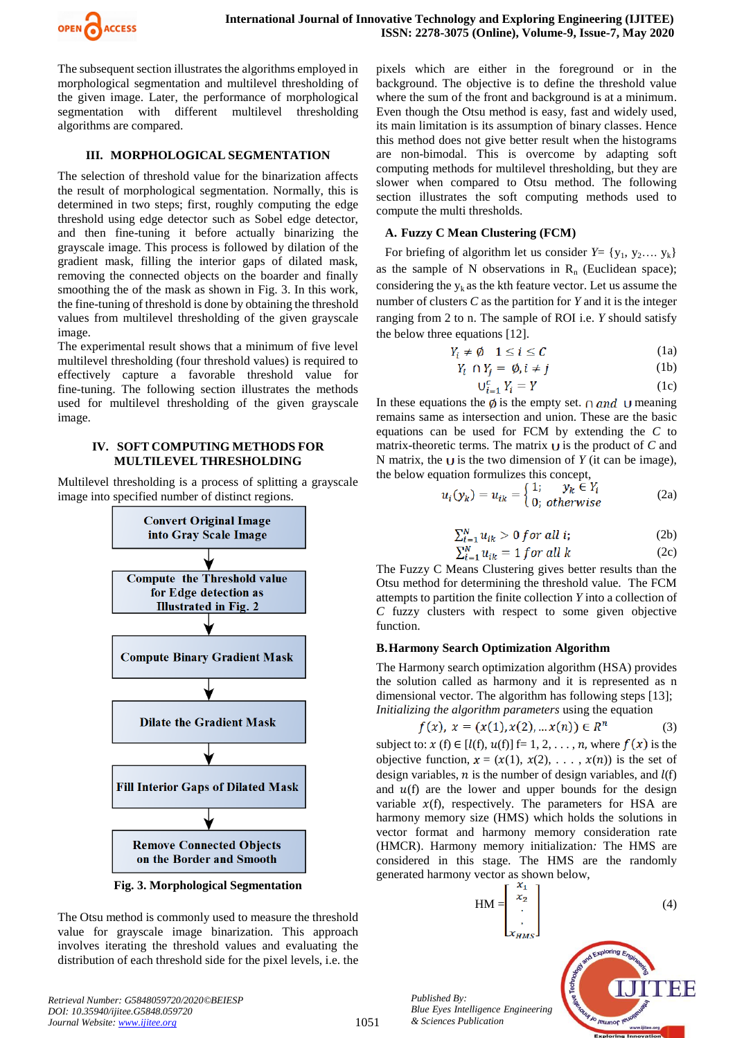

The subsequent section illustrates the algorithms employed in morphological segmentation and multilevel thresholding of the given image. Later, the performance of morphological segmentation with different multilevel thresholding algorithms are compared.

# **III. MORPHOLOGICAL SEGMENTATION**

The selection of threshold value for the binarization affects the result of morphological segmentation. Normally, this is determined in two steps; first, roughly computing the edge threshold using edge detector such as Sobel edge detector, and then fine-tuning it before actually binarizing the grayscale image. This process is followed by dilation of the gradient mask, filling the interior gaps of dilated mask, removing the connected objects on the boarder and finally smoothing the of the mask as shown in Fig. 3. In this work, the fine-tuning of threshold is done by obtaining the threshold values from multilevel thresholding of the given grayscale image.

The experimental result shows that a minimum of five level multilevel thresholding (four threshold values) is required to effectively capture a favorable threshold value for fine-tuning. The following section illustrates the methods used for multilevel thresholding of the given grayscale image.

#### **IV. SOFT COMPUTING METHODS FOR MULTILEVEL THRESHOLDING**

Multilevel thresholding is a process of splitting a grayscale image into specified number of distinct regions.



**Fig. 3. Morphological Segmentation**

The Otsu method is commonly used to measure the threshold value for grayscale image binarization. This approach involves iterating the threshold values and evaluating the distribution of each threshold side for the pixel levels, i.e. the

pixels which are either in the foreground or in the background. The objective is to define the threshold value where the sum of the front and background is at a minimum. Even though the Otsu method is easy, fast and widely used, its main limitation is its assumption of binary classes. Hence this method does not give better result when the histograms are non-bimodal. This is overcome by adapting soft computing methods for multilevel thresholding, but they are slower when compared to Otsu method. The following section illustrates the soft computing methods used to compute the multi thresholds.

#### **A. Fuzzy C Mean Clustering (FCM)**

For briefing of algorithm let us consider  $Y = \{y_1, y_2, \ldots, y_k\}$ as the sample of N observations in  $R_n$  (Euclidean space); considering the  $y_k$  as the kth feature vector. Let us assume the number of clusters *C* as the partition for *Y* and it is the integer ranging from 2 to n. The sample of ROI i.e. *Y* should satisfy the below three equations [12].

$$
Y_i \neq \emptyset \quad 1 \le i \le C \tag{1a}
$$

$$
Y_i \cap Y_j = \emptyset, i \neq j \tag{1b}
$$

$$
U_{i=1}^c Y_i = Y \tag{1c}
$$

In these equations the  $\emptyset$  is the empty set.  $\cap$  and  $\cup$  meaning remains same as intersection and union. These are the basic equations can be used for FCM by extending the *C* to matrix-theoretic terms. The matrix  $\cup$  is the product of  $C$  and N matrix, the  $\cup$  is the two dimension of *Y* (it can be image), the below equation formulizes this concept,

$$
u_i(y_k) = u_{ik} = \begin{cases} 1; & y_k \in Y_i \\ 0; & otherwise \end{cases}
$$
 (2a)

$$
\sum_{i=1}^{N} u_{ik} > 0 \text{ for all } i;
$$
 (2b)

$$
\sum_{i=1}^{N} u_{ik} = 1 \text{ for all } k \tag{2c}
$$

The Fuzzy C Means Clustering gives better results than the Otsu method for determining the threshold value. The FCM attempts to partition the finite collection *Y* into a collection of *C* fuzzy clusters with respect to some given objective function.

## **B.Harmony Search Optimization Algorithm**

The Harmony search optimization algorithm (HSA) provides the solution called as harmony and it is represented as n dimensional vector. The algorithm has following steps [13]; *Initializing the algorithm parameters* using the equation

$$
f(x), x = (x(1), x(2), \dots x(n)) \in R^n
$$
 (3)

subject to:  $x(f) \in [l(f), u(f)]$  f= 1, 2, . . . , n, where  $f(x)$  is the objective function,  $x = (x(1), x(2), \ldots, x(n))$  is the set of design variables,  $n$  is the number of design variables, and  $l(f)$ and  $u(f)$  are the lower and upper bounds for the design variable  $x(f)$ , respectively. The parameters for HSA are harmony memory size (HMS) which holds the solutions in vector format and harmony memory consideration rate (HMCR). Harmony memory initialization*:* The HMS are considered in this stage. The HMS are the randomly generated harmony vector as shown below,

$$
HM = \begin{bmatrix} x_1 \\ x_2 \\ \vdots \\ x_{HMS} \end{bmatrix}
$$
 (4)

*Published By: Blue Eyes Intelligence Engineering & Sciences Publication* 

FF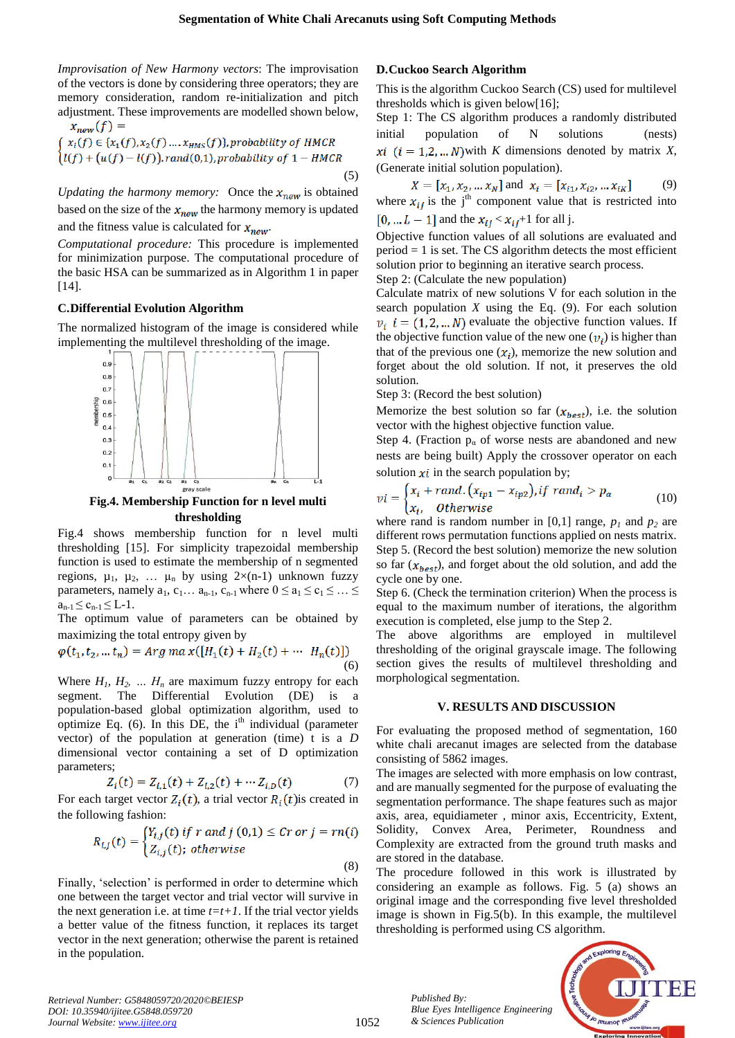*Improvisation of New Harmony vectors*: The improvisation of the vectors is done by considering three operators; they are memory consideration, random re-initialization and pitch adjustment. These improvements are modelled shown below,  $(f)$  =

$$
\begin{aligned}\n\mathcal{L}_{new}(f) &= \\
\int x_i(f) \in \{x_1(f), x_2(f), \dots, x_{HMS}(f)\}, \text{probability of HMCR} \\
\text{tr}(f) + \big(u(f) - \text{tr}(f)\big), \text{rand}(0,1), \text{probability of } 1 - \text{HMCR}\n\end{aligned}
$$
\n
$$
(5)
$$

*Updating the harmony memory:* Once the  $x_{new}$  is obtained based on the size of the  $x_{new}$  the harmony memory is updated and the fitness value is calculated for  $x_{new}$ .

*Computational procedure:* This procedure is implemented for minimization purpose. The computational procedure of the basic HSA can be summarized as in Algorithm 1 in paper [14].

#### **C.Differential Evolution Algorithm**

The normalized histogram of the image is considered while implementing the multilevel thresholding of the image.



**Fig.4. Membership Function for n level multi thresholding**

Fig.4 shows membership function for n level multi thresholding [15]. For simplicity trapezoidal membership function is used to estimate the membership of n segmented regions,  $\mu_1$ ,  $\mu_2$ , ...  $\mu_n$  by using  $2\times(n-1)$  unknown fuzzy parameters, namely  $a_1, c_1... a_{n-1}, c_{n-1}$  where  $0 \le a_1 \le c_1 \le ... \le a_n$  $a_{n-1} \leq c_{n-1} \leq L-1$ .

The optimum value of parameters can be obtained by maximizing the total entropy given by

$$
\varphi(t_1, t_2, \dots, t_n) = \text{Arg} \, \max\left( [H_1(t) + H_2(t) + \dots, H_n(t)] \right) \tag{6}
$$

Where  $H_1$ ,  $H_2$ , ...  $H_n$  are maximum fuzzy entropy for each segment. The Differential Evolution (DE) is a population-based global optimization algorithm, used to optimize Eq.  $(6)$ . In this DE, the i<sup>th</sup> individual (parameter vector) of the population at generation (time) t is a *D* dimensional vector containing a set of D optimization parameters;

$$
Z_i(t) = Z_{i,1}(t) + Z_{i,2}(t) + \cdots Z_{i,D}(t)
$$
 (7)

For each target vector  $Z_i(t)$ , a trial vector  $R_i(t)$  is created in the following fashion:

$$
R_{i,j}(t) = \begin{cases} Y_{i,j}(t) \text{ if } r \text{ and } j(0,1) \leq Cr \text{ or } j = rn(i) \\ Z_{i,j}(t); \text{ otherwise} \end{cases}
$$

Finally, 'selection' is performed in order to determine which one between the target vector and trial vector will survive in the next generation i.e. at time  $t=t+1$ . If the trial vector yields a better value of the fitness function, it replaces its target vector in the next generation; otherwise the parent is retained in the population.

#### **D.Cuckoo Search Algorithm**

This is the algorithm Cuckoo Search (CS) used for multilevel thresholds which is given below[16];

Step 1: The CS algorithm produces a randomly distributed initial population of N solutions (nests) xi  $(i = 1, 2, ... N)$  with K dimensions denoted by matrix X, (Generate initial solution population).

$$
X = [x_1, x_2, \dots x_N] \text{ and } x_i = [x_{i1}, x_{i2}, \dots x_{iK}] \tag{9}
$$

where  $x_{ij}$  is the j<sup>th</sup> component value that is restricted into  $[0, ... L - 1]$  and the  $x_{ij} < x_{ij} + 1$  for all j.

Objective function values of all solutions are evaluated and  $period = 1$  is set. The CS algorithm detects the most efficient solution prior to beginning an iterative search process.

Step 2: (Calculate the new population)

Calculate matrix of new solutions V for each solution in the search population  $X$  using the Eq.  $(9)$ . For each solution  $v_i$  i = (1, 2, ... N) evaluate the objective function values. If the objective function value of the new one  $(v_i)$  is higher than that of the previous one  $(x_i)$ , memorize the new solution and forget about the old solution. If not, it preserves the old solution.

Step 3: (Record the best solution)

Memorize the best solution so far  $(x_{best})$ , i.e. the solution vector with the highest objective function value.

Step 4. (Fraction  $p_a$  of worse nests are abandoned and new nests are being built) Apply the crossover operator on each solution  $xi$  in the search population by;

$$
vi = \begin{cases} x_i + rand. (x_{ip1} - x_{ip2}), if \ rand_i > p_\alpha \\ x_i, \quad Otherwise \end{cases} \tag{10}
$$

where rand is random number in [0,1] range,  $p_1$  and  $p_2$  are different rows permutation functions applied on nests matrix. Step 5. (Record the best solution) memorize the new solution so far  $(x_{best})$ , and forget about the old solution, and add the cycle one by one.

Step 6. (Check the termination criterion) When the process is equal to the maximum number of iterations, the algorithm execution is completed, else jump to the Step 2.

The above algorithms are employed in multilevel thresholding of the original grayscale image. The following section gives the results of multilevel thresholding and morphological segmentation.

#### **V. RESULTS AND DISCUSSION**

For evaluating the proposed method of segmentation, 160 white chali arecanut images are selected from the database consisting of 5862 images.

The images are selected with more emphasis on low contrast, and are manually segmented for the purpose of evaluating the segmentation performance. The shape features such as major axis, area, equidiameter , minor axis, Eccentricity, Extent, Solidity, Convex Area, Perimeter, Roundness and Complexity are extracted from the ground truth masks and are stored in the database.

The procedure followed in this work is illustrated by considering an example as follows. Fig. 5 (a) shows an original image and the corresponding five level thresholded image is shown in Fig.5(b). In this example, the multilevel thresholding is performed using CS algorithm.



*Retrieval Number: G5848059720/2020©BEIESP DOI: 10.35940/ijitee.G5848.059720 Journal Website: www.ijitee.org*

(8)

*Published By:*

*& Sciences Publication* 

*Blue Eyes Intelligence Engineering*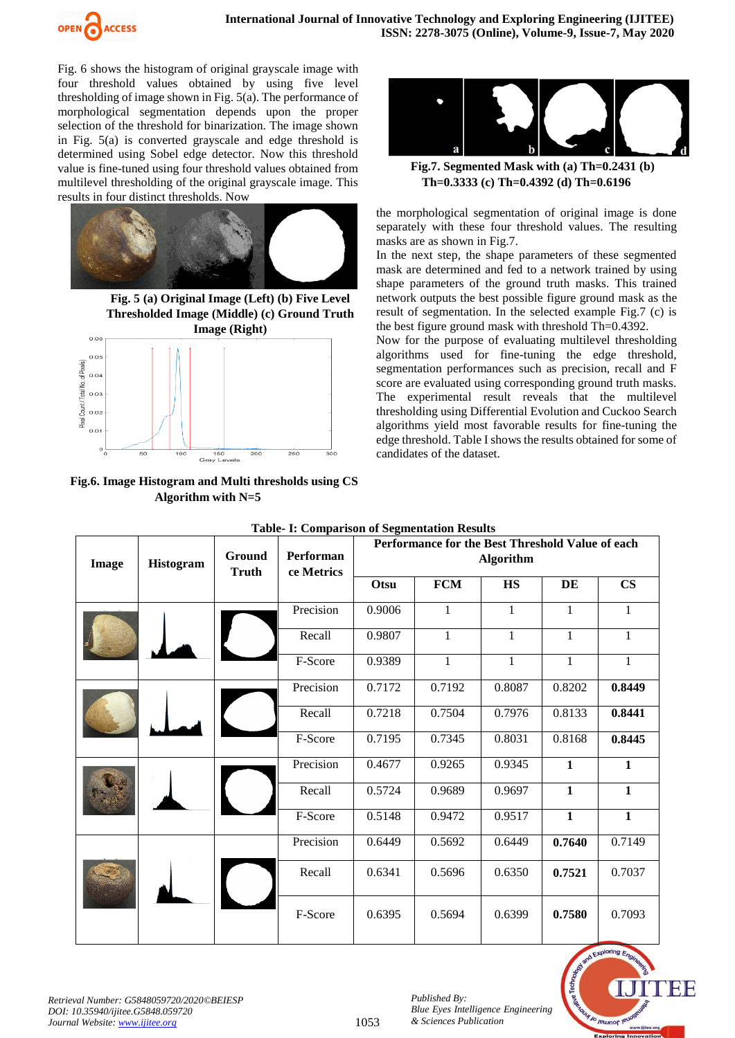

Fig. 6 shows the histogram of original grayscale image with four threshold values obtained by using five level thresholding of image shown in Fig. 5(a). The performance of morphological segmentation depends upon the proper selection of the threshold for binarization. The image shown in Fig. 5(a) is converted grayscale and edge threshold is determined using Sobel edge detector. Now this threshold value is fine-tuned using four threshold values obtained from multilevel thresholding of the original grayscale image. This results in four distinct thresholds. Now



**Fig. 5 (a) Original Image (Left) (b) Five Level Thresholded Image (Middle) (c) Ground Truth Image (Right)**  $_{0.0}$ 



**Fig.6. Image Histogram and Multi thresholds using CS Algorithm with N=5**



**Fig.7. Segmented Mask with (a) Th=0.2431 (b) Th=0.3333 (c) Th=0.4392 (d) Th=0.6196**

the morphological segmentation of original image is done separately with these four threshold values. The resulting masks are as shown in Fig.7.

In the next step, the shape parameters of these segmented mask are determined and fed to a network trained by using shape parameters of the ground truth masks. This trained network outputs the best possible figure ground mask as the result of segmentation. In the selected example Fig.7 (c) is the best figure ground mask with threshold Th=0.4392.

Now for the purpose of evaluating multilevel thresholding algorithms used for fine-tuning the edge threshold, segmentation performances such as precision, recall and F score are evaluated using corresponding ground truth masks. The experimental result reveals that the multilevel thresholding using Differential Evolution and Cuckoo Search algorithms yield most favorable results for fine-tuning the edge threshold. Table I shows the results obtained for some of candidates of the dataset.

| Table- 1: Comparison of Segmentation Results |           |                        |                                |                                                                      |              |              |              |               |  |  |
|----------------------------------------------|-----------|------------------------|--------------------------------|----------------------------------------------------------------------|--------------|--------------|--------------|---------------|--|--|
| Image                                        | Histogram | Ground<br><b>Truth</b> | <b>Performan</b><br>ce Metrics | Performance for the Best Threshold Value of each<br><b>Algorithm</b> |              |              |              |               |  |  |
|                                              |           |                        |                                | Otsu                                                                 | <b>FCM</b>   | <b>HS</b>    | DE           | $\mathbf{CS}$ |  |  |
|                                              |           |                        | Precision                      | 0.9006                                                               | 1            | 1            | 1            | $\mathbf{1}$  |  |  |
|                                              |           |                        | Recall                         | 0.9807                                                               | 1            | 1            | $\mathbf{1}$ | 1             |  |  |
|                                              |           |                        | F-Score                        | 0.9389                                                               | $\mathbf{1}$ | $\mathbf{1}$ | $\mathbf{1}$ | $\mathbf{1}$  |  |  |
|                                              |           |                        | Precision                      | 0.7172                                                               | 0.7192       | 0.8087       | 0.8202       | 0.8449        |  |  |
|                                              |           |                        | Recall                         | 0.7218                                                               | 0.7504       | 0.7976       | 0.8133       | 0.8441        |  |  |
|                                              |           |                        | F-Score                        | 0.7195                                                               | 0.7345       | 0.8031       | 0.8168       | 0.8445        |  |  |
|                                              |           |                        | Precision                      | 0.4677                                                               | 0.9265       | 0.9345       | $\mathbf{1}$ | $\mathbf{1}$  |  |  |
|                                              |           |                        | Recall                         | 0.5724                                                               | 0.9689       | 0.9697       | $\mathbf{1}$ | $\mathbf{1}$  |  |  |
|                                              |           |                        | F-Score                        | 0.5148                                                               | 0.9472       | 0.9517       | $\mathbf{1}$ | $\mathbf{1}$  |  |  |
|                                              |           |                        | Precision                      | 0.6449                                                               | 0.5692       | 0.6449       | 0.7640       | 0.7149        |  |  |
|                                              |           |                        | Recall                         | 0.6341                                                               | 0.5696       | 0.6350       | 0.7521       | 0.7037        |  |  |
|                                              |           |                        | F-Score                        | 0.6395                                                               | 0.5694       | 0.6399       | 0.7580       | 0.7093        |  |  |

1053

# **Table- I: Comparison of Segmentation Results**

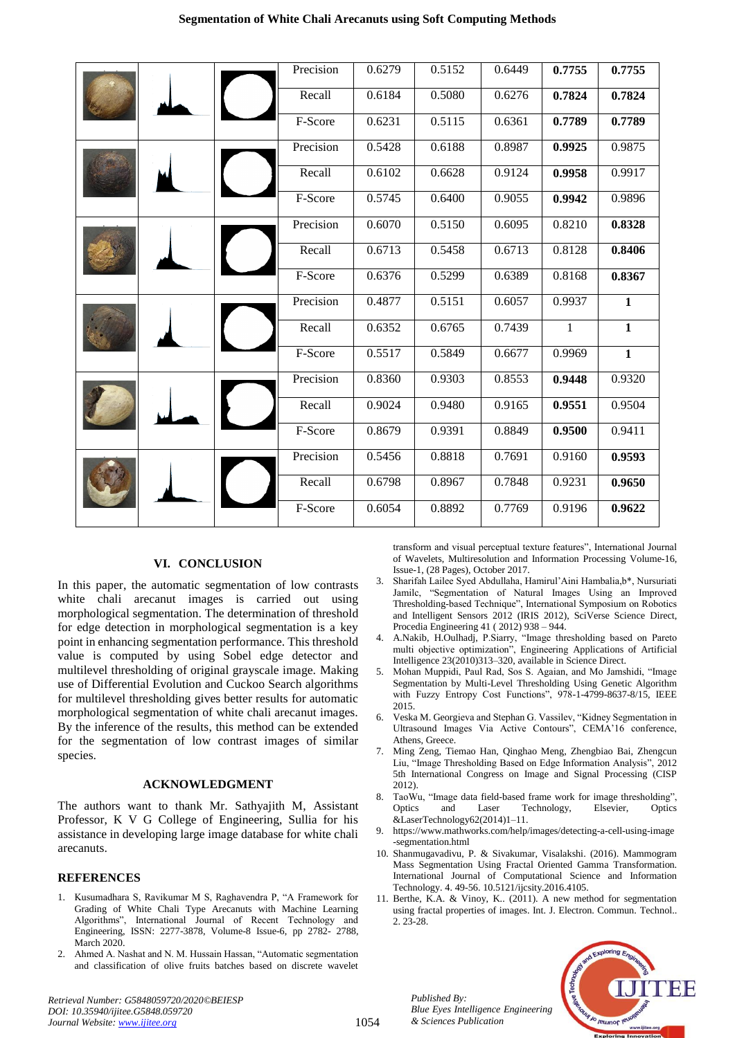|  |  |  | Precision | 0.6279 | 0.5152 | 0.6449 | 0.7755       | 0.7755       |
|--|--|--|-----------|--------|--------|--------|--------------|--------------|
|  |  |  | Recall    | 0.6184 | 0.5080 | 0.6276 | 0.7824       | 0.7824       |
|  |  |  | F-Score   | 0.6231 | 0.5115 | 0.6361 | 0.7789       | 0.7789       |
|  |  |  | Precision | 0.5428 | 0.6188 | 0.8987 | 0.9925       | 0.9875       |
|  |  |  | Recall    | 0.6102 | 0.6628 | 0.9124 | 0.9958       | 0.9917       |
|  |  |  | F-Score   | 0.5745 | 0.6400 | 0.9055 | 0.9942       | 0.9896       |
|  |  |  | Precision | 0.6070 | 0.5150 | 0.6095 | 0.8210       | 0.8328       |
|  |  |  | Recall    | 0.6713 | 0.5458 | 0.6713 | 0.8128       | 0.8406       |
|  |  |  | F-Score   | 0.6376 | 0.5299 | 0.6389 | 0.8168       | 0.8367       |
|  |  |  | Precision | 0.4877 | 0.5151 | 0.6057 | 0.9937       | 1            |
|  |  |  | Recall    | 0.6352 | 0.6765 | 0.7439 | $\mathbf{1}$ | $\mathbf{1}$ |
|  |  |  | F-Score   | 0.5517 | 0.5849 | 0.6677 | 0.9969       | $\mathbf{1}$ |
|  |  |  | Precision | 0.8360 | 0.9303 | 0.8553 | 0.9448       | 0.9320       |
|  |  |  | Recall    | 0.9024 | 0.9480 | 0.9165 | 0.9551       | 0.9504       |
|  |  |  | F-Score   | 0.8679 | 0.9391 | 0.8849 | 0.9500       | 0.9411       |
|  |  |  | Precision | 0.5456 | 0.8818 | 0.7691 | 0.9160       | 0.9593       |
|  |  |  | Recall    | 0.6798 | 0.8967 | 0.7848 | 0.9231       | 0.9650       |
|  |  |  | F-Score   | 0.6054 | 0.8892 | 0.7769 | 0.9196       | 0.9622       |

# **VI. CONCLUSION**

In this paper, the automatic segmentation of low contrasts white chali arecanut images is carried out using morphological segmentation. The determination of threshold for edge detection in morphological segmentation is a key point in enhancing segmentation performance. This threshold value is computed by using Sobel edge detector and multilevel thresholding of original grayscale image. Making use of Differential Evolution and Cuckoo Search algorithms for multilevel thresholding gives better results for automatic morphological segmentation of white chali arecanut images. By the inference of the results, this method can be extended for the segmentation of low contrast images of similar species.

## **ACKNOWLEDGMENT**

The authors want to thank Mr. Sathyajith M, Assistant Professor, K V G College of Engineering, Sullia for his assistance in developing large image database for white chali arecanuts.

## **REFERENCES**

- 1. Kusumadhara S, Ravikumar M S, Raghavendra P, "A Framework for Grading of White Chali Type Arecanuts with Machine Learning Algorithms", International Journal of Recent Technology and Engineering, ISSN: 2277-3878, Volume-8 Issue-6, pp 2782- 2788, March 2020.
- 2. Ahmed A. Nashat and N. M. Hussain Hassan, "Automatic segmentation and classification of olive fruits batches based on discrete wavelet

transform and visual perceptual texture features", International Journal of Wavelets, Multiresolution and Information Processing Volume-16, Issue-1, (28 Pages), October 2017.

- 3. Sharifah Lailee Syed Abdullaha, Hamirul'Aini Hambalia,b\*, Nursuriati Jamilc, "Segmentation of Natural Images Using an Improved Thresholding-based Technique", International Symposium on Robotics and Intelligent Sensors 2012 (IRIS 2012), SciVerse Science Direct, Procedia Engineering 41 ( 2012) 938 – 944.
- 4. A.Nakib, H.Oulhadj, P.Siarry, "Image thresholding based on Pareto multi objective optimization", Engineering Applications of Artificial Intelligence 23(2010)313–320, available in Science Direct.
- 5. Mohan Muppidi, Paul Rad, Sos S. Agaian, and Mo Jamshidi, "Image Segmentation by Multi-Level Thresholding Using Genetic Algorithm with Fuzzy Entropy Cost Functions", 978-1-4799-8637-8/15, IEEE 2015.
- 6. Veska M. Georgieva and Stephan G. Vassilev, "Kidney Segmentation in Ultrasound Images Via Active Contours", CEMA'16 conference, Athens, Greece.
- 7. Ming Zeng, Tiemao Han, Qinghao Meng, Zhengbiao Bai, Zhengcun Liu, "Image Thresholding Based on Edge Information Analysis", 2012 5th International Congress on Image and Signal Processing (CISP 2012).
- 8. TaoWu, "Image data field-based frame work for image thresholding", Optics and Laser Technology, Elsevier, Optics &LaserTechnology62(2014)1–11.
- 9. [https://www.mathworks.com/help/images/detecting-a-cell-using-image](https://www.mathworks.com/help/images/detecting-a-cell-using-image-segmentation.html) [-segmentation.html](https://www.mathworks.com/help/images/detecting-a-cell-using-image-segmentation.html)
- 10. Shanmugavadivu, P. & Sivakumar, Visalakshi. (2016). Mammogram Mass Segmentation Using Fractal Oriented Gamma Transformation. International Journal of Computational Science and Information Technology. 4. 49-56. 10.5121/ijcsity.2016.4105.
- 11. Berthe, K.A. & Vinoy, K.. (2011). A new method for segmentation using fractal properties of images. Int. J. Electron. Commun. Technol.. 2. 23-28.



*Retrieval Number: G5848059720/2020©BEIESP DOI: 10.35940/ijitee.G5848.059720 Journal Website: www.ijitee.org*

*Published By:*

*& Sciences Publication*